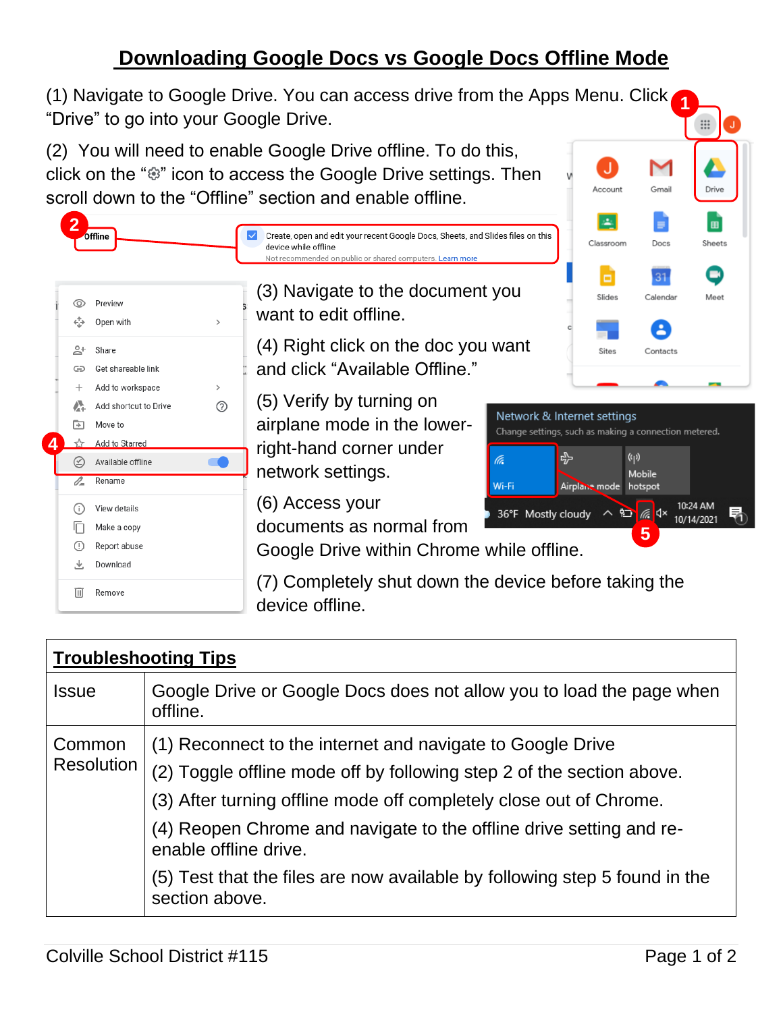## **Downloading Google Docs vs Google Docs Offline Mode**

(1) Navigate to Google Drive. You can access drive from the Apps Menu. Click "Drive" to go into your Google Drive. **1**

(2) You will need to enable Google Drive offline. To do this, click on the " $\circledast$ " icon to access the Google Drive settings. Then scroll down to the "Offline" section and enable offline.



| <b>Troubleshooting Tips</b> |                                                                                              |
|-----------------------------|----------------------------------------------------------------------------------------------|
| <b>Issue</b>                | Google Drive or Google Docs does not allow you to load the page when<br>offline.             |
| Common<br>Resolution        | (1) Reconnect to the internet and navigate to Google Drive                                   |
|                             | (2) Toggle offline mode off by following step 2 of the section above.                        |
|                             | (3) After turning offline mode off completely close out of Chrome.                           |
|                             | (4) Reopen Chrome and navigate to the offline drive setting and re-<br>enable offline drive. |
|                             | (5) Test that the files are now available by following step 5 found in the<br>section above. |

 $\mathbb{R}$  0

Drive

M

Gmail

IJ

Account